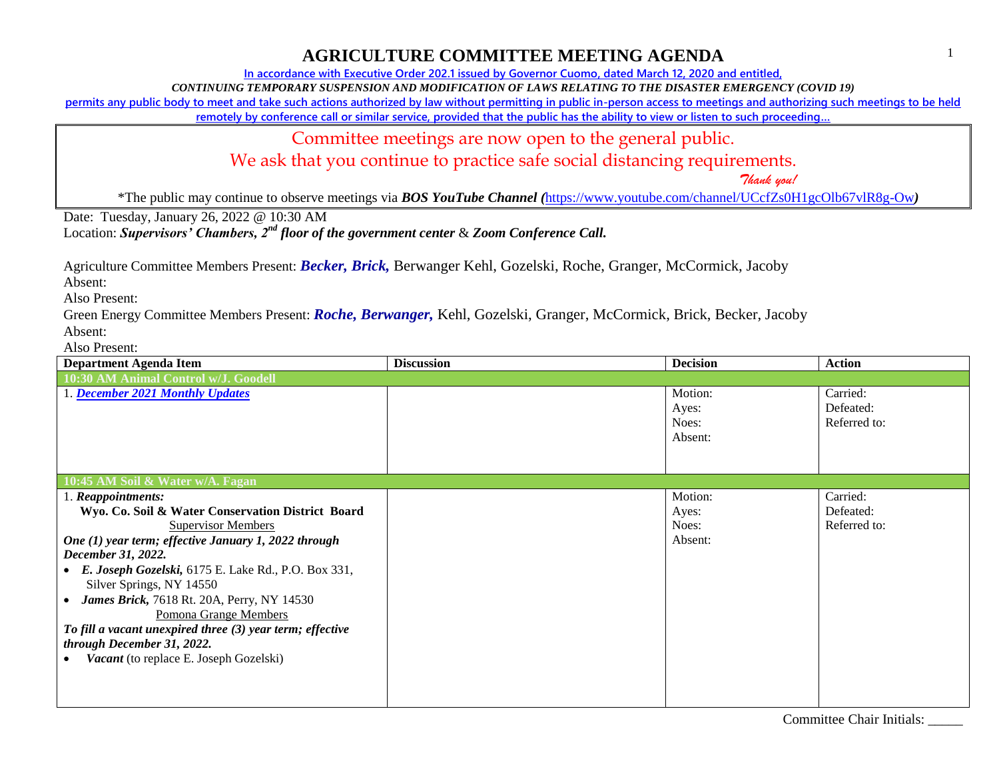**In accordance with Executive Order 202.1 issued by Governor Cuomo, dated March 12, 2020 and entitled,**

*CONTINUING TEMPORARY SUSPENSION AND MODIFICATION OF LAWS RELATING TO THE DISASTER EMERGENCY (COVID 19)*

**permits any public body to meet and take such actions authorized by law without permitting in public in-person access to meetings and authorizing such meetings to be held** 

**remotely by conference call or similar service, provided that the public has the ability to view or listen to such proceeding…**

Committee meetings are now open to the general public.

We ask that you continue to practice safe social distancing requirements.

 *Thank you!*

\*The public may continue to observe meetings via *BOS YouTube Channel (*<https://www.youtube.com/channel/UCcfZs0H1gcOlb67vlR8g-Ow>*)*

Date: Tuesday, January 26, 2022 @ 10:30 AM

Location: *Supervisors' Chambers, 2nd floor of the government center* & *Zoom Conference Call.*

Agriculture Committee Members Present: *Becker, Brick,* Berwanger Kehl, Gozelski, Roche, Granger, McCormick, Jacoby

Absent:

Also Present:

Green Energy Committee Members Present: *Roche, Berwanger,* Kehl, Gozelski, Granger, McCormick, Brick, Becker, Jacoby Absent:

| <b>Department Agenda Item</b>                             | <b>Discussion</b> | <b>Decision</b> | <b>Action</b> |
|-----------------------------------------------------------|-------------------|-----------------|---------------|
| 10:30 AM Animal Control w/J. Goodell                      |                   |                 |               |
| 1. December 2021 Monthly Updates                          |                   | Motion:         | Carried:      |
|                                                           |                   | Ayes:           | Defeated:     |
|                                                           |                   | Noes:           | Referred to:  |
|                                                           |                   | Absent:         |               |
|                                                           |                   |                 |               |
|                                                           |                   |                 |               |
| 10:45 AM Soil & Water w/A. Fagan                          |                   |                 |               |
| 1. Reappointments:                                        |                   | Motion:         | Carried:      |
| Wyo. Co. Soil & Water Conservation District Board         |                   | Ayes:           | Defeated:     |
| <b>Supervisor Members</b>                                 |                   | Noes:           | Referred to:  |
| One (1) year term; effective January 1, 2022 through      |                   | Absent:         |               |
| December 31, 2022.                                        |                   |                 |               |
| E. Joseph Gozelski, 6175 E. Lake Rd., P.O. Box 331,       |                   |                 |               |
| Silver Springs, NY 14550                                  |                   |                 |               |
| James Brick, 7618 Rt. 20A, Perry, NY 14530                |                   |                 |               |
| Pomona Grange Members                                     |                   |                 |               |
| To fill a vacant unexpired three (3) year term; effective |                   |                 |               |
| through December 31, 2022.                                |                   |                 |               |
| Vacant (to replace E. Joseph Gozelski)                    |                   |                 |               |
|                                                           |                   |                 |               |
|                                                           |                   |                 |               |
|                                                           |                   |                 |               |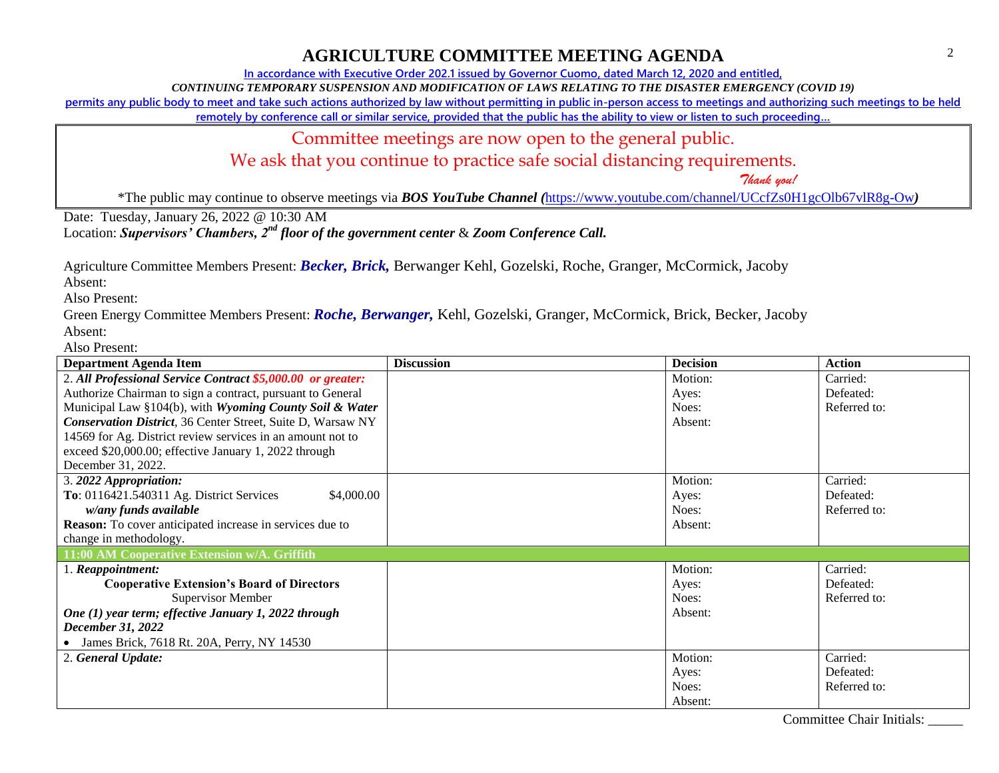**In accordance with Executive Order 202.1 issued by Governor Cuomo, dated March 12, 2020 and entitled,**

*CONTINUING TEMPORARY SUSPENSION AND MODIFICATION OF LAWS RELATING TO THE DISASTER EMERGENCY (COVID 19)*

**permits any public body to meet and take such actions authorized by law without permitting in public in-person access to meetings and authorizing such meetings to be held** 

**remotely by conference call or similar service, provided that the public has the ability to view or listen to such proceeding…**

Committee meetings are now open to the general public.

We ask that you continue to practice safe social distancing requirements.

 *Thank you!*

\*The public may continue to observe meetings via *BOS YouTube Channel (*<https://www.youtube.com/channel/UCcfZs0H1gcOlb67vlR8g-Ow>*)*

Date: Tuesday, January 26, 2022 @ 10:30 AM

Location: *Supervisors' Chambers, 2nd floor of the government center* & *Zoom Conference Call.*

Agriculture Committee Members Present: *Becker, Brick,* Berwanger Kehl, Gozelski, Roche, Granger, McCormick, Jacoby

Absent:

Also Present:

Green Energy Committee Members Present: *Roche, Berwanger,* Kehl, Gozelski, Granger, McCormick, Brick, Becker, Jacoby Absent:

| <b>Department Agenda Item</b>                                   | <b>Discussion</b> | <b>Decision</b> | <b>Action</b> |
|-----------------------------------------------------------------|-------------------|-----------------|---------------|
| 2. All Professional Service Contract \$5,000.00 or greater:     |                   | Motion:         | Carried:      |
| Authorize Chairman to sign a contract, pursuant to General      |                   | Ayes:           | Defeated:     |
| Municipal Law §104(b), with Wyoming County Soil & Water         |                   | Noes:           | Referred to:  |
| Conservation District, 36 Center Street, Suite D, Warsaw NY     |                   | Absent:         |               |
| 14569 for Ag. District review services in an amount not to      |                   |                 |               |
| exceed \$20,000.00; effective January 1, 2022 through           |                   |                 |               |
| December 31, 2022.                                              |                   |                 |               |
| 3. 2022 Appropriation:                                          |                   | Motion:         | Carried:      |
| To: 0116421.540311 Ag. District Services<br>\$4,000.00          |                   | Ayes:           | Defeated:     |
| w/any funds available                                           |                   | Noes:           | Referred to:  |
| <b>Reason:</b> To cover anticipated increase in services due to |                   | Absent:         |               |
| change in methodology.                                          |                   |                 |               |
| 11:00 AM Cooperative Extension w/A. Griffith                    |                   |                 |               |
| 1. Reappointment:                                               |                   | Motion:         | Carried:      |
| <b>Cooperative Extension's Board of Directors</b>               |                   | Ayes:           | Defeated:     |
| <b>Supervisor Member</b>                                        |                   | Noes:           | Referred to:  |
| One (1) year term; effective January 1, 2022 through            |                   | Absent:         |               |
| December 31, 2022                                               |                   |                 |               |
| James Brick, 7618 Rt. 20A, Perry, NY 14530                      |                   |                 |               |
| 2. General Update:                                              |                   | Motion:         | Carried:      |
|                                                                 |                   | Ayes:           | Defeated:     |
|                                                                 |                   | Noes:           | Referred to:  |
|                                                                 |                   | Absent:         |               |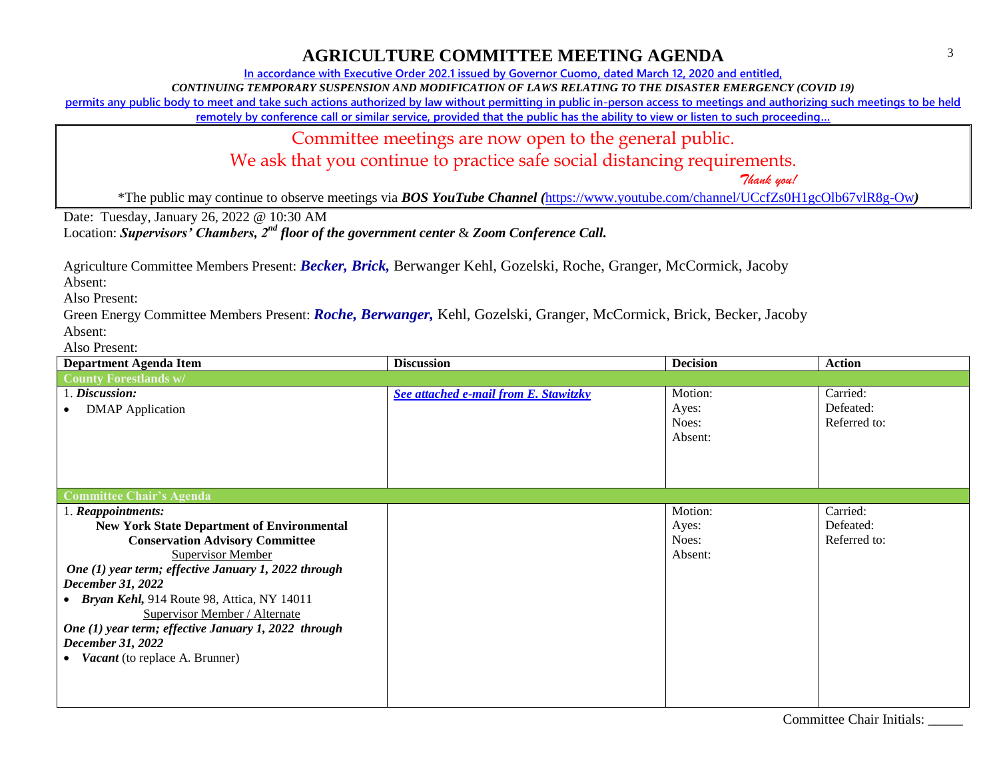**In accordance with Executive Order 202.1 issued by Governor Cuomo, dated March 12, 2020 and entitled,**

*CONTINUING TEMPORARY SUSPENSION AND MODIFICATION OF LAWS RELATING TO THE DISASTER EMERGENCY (COVID 19)*

**permits any public body to meet and take such actions authorized by law without permitting in public in-person access to meetings and authorizing such meetings to be held** 

**remotely by conference call or similar service, provided that the public has the ability to view or listen to such proceeding…**

Committee meetings are now open to the general public.

We ask that you continue to practice safe social distancing requirements.

 *Thank you!*

\*The public may continue to observe meetings via *BOS YouTube Channel (*<https://www.youtube.com/channel/UCcfZs0H1gcOlb67vlR8g-Ow>*)*

Date: Tuesday, January 26, 2022 @ 10:30 AM

Location: *Supervisors' Chambers, 2nd floor of the government center* & *Zoom Conference Call.*

Agriculture Committee Members Present: *Becker, Brick,* Berwanger Kehl, Gozelski, Roche, Granger, McCormick, Jacoby

Absent:

Also Present:

Green Energy Committee Members Present: *Roche, Berwanger,* Kehl, Gozelski, Granger, McCormick, Brick, Becker, Jacoby Absent:

| <b>Department Agenda Item</b>                        | <b>Discussion</b>                     | <b>Decision</b> | <b>Action</b> |
|------------------------------------------------------|---------------------------------------|-----------------|---------------|
| <b>County Forestlands w/</b>                         |                                       |                 |               |
| 1. Discussion:                                       | See attached e-mail from E. Stawitzky | Motion:         | Carried:      |
| <b>DMAP</b> Application                              |                                       | Ayes:           | Defeated:     |
|                                                      |                                       | Noes:           | Referred to:  |
|                                                      |                                       | Absent:         |               |
|                                                      |                                       |                 |               |
|                                                      |                                       |                 |               |
|                                                      |                                       |                 |               |
| <b>Committee Chair's Agenda</b>                      |                                       |                 |               |
| 1. Reappointments:                                   |                                       | Motion:         | Carried:      |
| <b>New York State Department of Environmental</b>    |                                       | Ayes:           | Defeated:     |
| <b>Conservation Advisory Committee</b>               |                                       | Noes:           | Referred to:  |
| <b>Supervisor Member</b>                             |                                       | Absent:         |               |
| One (1) year term; effective January 1, 2022 through |                                       |                 |               |
| December 31, 2022                                    |                                       |                 |               |
| • Bryan Kehl, 914 Route 98, Attica, NY 14011         |                                       |                 |               |
| Supervisor Member / Alternate                        |                                       |                 |               |
| One (1) year term; effective January 1, 2022 through |                                       |                 |               |
| December 31, 2022                                    |                                       |                 |               |
| <i>Vacant</i> (to replace A. Brunner)                |                                       |                 |               |
|                                                      |                                       |                 |               |
|                                                      |                                       |                 |               |
|                                                      |                                       |                 |               |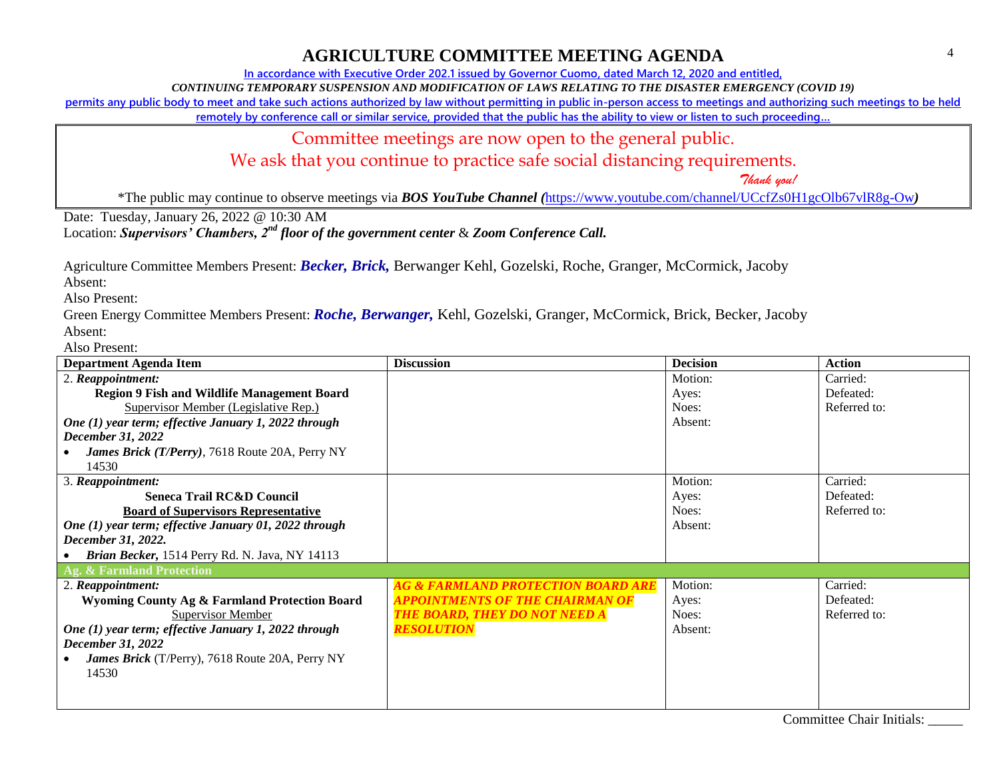**In accordance with Executive Order 202.1 issued by Governor Cuomo, dated March 12, 2020 and entitled,**

*CONTINUING TEMPORARY SUSPENSION AND MODIFICATION OF LAWS RELATING TO THE DISASTER EMERGENCY (COVID 19)*

**permits any public body to meet and take such actions authorized by law without permitting in public in-person access to meetings and authorizing such meetings to be held** 

**remotely by conference call or similar service, provided that the public has the ability to view or listen to such proceeding…**

Committee meetings are now open to the general public.

We ask that you continue to practice safe social distancing requirements.

 *Thank you!*

\*The public may continue to observe meetings via *BOS YouTube Channel (*<https://www.youtube.com/channel/UCcfZs0H1gcOlb67vlR8g-Ow>*)*

Date: Tuesday, January 26, 2022 @ 10:30 AM

Location: *Supervisors' Chambers, 2nd floor of the government center* & *Zoom Conference Call.*

Agriculture Committee Members Present: *Becker, Brick,* Berwanger Kehl, Gozelski, Roche, Granger, McCormick, Jacoby

Absent:

Also Present:

Green Energy Committee Members Present: *Roche, Berwanger,* Kehl, Gozelski, Granger, McCormick, Brick, Becker, Jacoby Absent:

| <b>Department Agenda Item</b>                         | <b>Discussion</b>                             | <b>Decision</b> | <b>Action</b> |
|-------------------------------------------------------|-----------------------------------------------|-----------------|---------------|
| 2. Reappointment:                                     |                                               | Motion:         | Carried:      |
| <b>Region 9 Fish and Wildlife Management Board</b>    |                                               | Ayes:           | Defeated:     |
| Supervisor Member (Legislative Rep.)                  |                                               | Noes:           | Referred to:  |
| One (1) year term; effective January 1, 2022 through  |                                               | Absent:         |               |
| December 31, 2022                                     |                                               |                 |               |
| James Brick (T/Perry), 7618 Route 20A, Perry NY       |                                               |                 |               |
| 14530                                                 |                                               |                 |               |
| 3. Reappointment:                                     |                                               | Motion:         | Carried:      |
| <b>Seneca Trail RC&amp;D Council</b>                  |                                               | Ayes:           | Defeated:     |
| <b>Board of Supervisors Representative</b>            |                                               | Noes:           | Referred to:  |
| One (1) year term; effective January 01, 2022 through |                                               | Absent:         |               |
| December 31, 2022.                                    |                                               |                 |               |
| Brian Becker, 1514 Perry Rd. N. Java, NY 14113        |                                               |                 |               |
| Ag. & Farmland Protection                             |                                               |                 |               |
| 2. Reappointment:                                     | <b>AG &amp; FARMLAND PROTECTION BOARD ARE</b> | Motion:         | Carried:      |
| Wyoming County Ag & Farmland Protection Board         | <b>APPOINTMENTS OF THE CHAIRMAN OF</b>        | Ayes:           | Defeated:     |
| Supervisor Member                                     | <b>THE BOARD, THEY DO NOT NEED A</b>          | Noes:           | Referred to:  |
| One (1) year term; effective January 1, 2022 through  | <b>RESOLUTION</b>                             | Absent:         |               |
| December 31, 2022                                     |                                               |                 |               |
| James Brick (T/Perry), 7618 Route 20A, Perry NY       |                                               |                 |               |
| 14530                                                 |                                               |                 |               |
|                                                       |                                               |                 |               |
|                                                       |                                               |                 |               |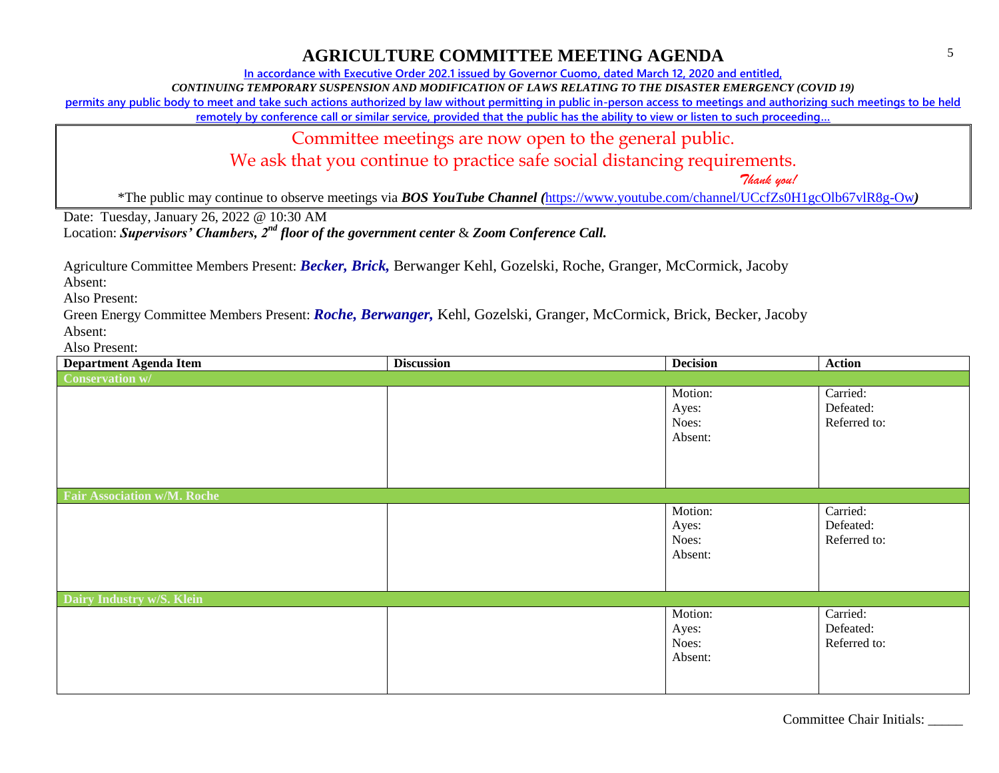**In accordance with Executive Order 202.1 issued by Governor Cuomo, dated March 12, 2020 and entitled,**

*CONTINUING TEMPORARY SUSPENSION AND MODIFICATION OF LAWS RELATING TO THE DISASTER EMERGENCY (COVID 19)*

**permits any public body to meet and take such actions authorized by law without permitting in public in-person access to meetings and authorizing such meetings to be held** 

**remotely by conference call or similar service, provided that the public has the ability to view or listen to such proceeding…**

Committee meetings are now open to the general public.

We ask that you continue to practice safe social distancing requirements.

 *Thank you!*

\*The public may continue to observe meetings via *BOS YouTube Channel (*<https://www.youtube.com/channel/UCcfZs0H1gcOlb67vlR8g-Ow>*)*

Date: Tuesday, January 26, 2022 @ 10:30 AM

Location: *Supervisors' Chambers, 2nd floor of the government center* & *Zoom Conference Call.*

Agriculture Committee Members Present: *Becker, Brick,* Berwanger Kehl, Gozelski, Roche, Granger, McCormick, Jacoby

Absent:

Also Present:

Green Energy Committee Members Present: *Roche, Berwanger,* Kehl, Gozelski, Granger, McCormick, Brick, Becker, Jacoby Absent:

| <b>Department Agenda Item</b>      | <b>Discussion</b> | <b>Decision</b>                      | <b>Action</b>                         |
|------------------------------------|-------------------|--------------------------------------|---------------------------------------|
| <b>Conservation w/</b>             |                   |                                      |                                       |
|                                    |                   | Motion:<br>Ayes:<br>Noes:<br>Absent: | Carried:<br>Defeated:<br>Referred to: |
| <b>Fair Association w/M. Roche</b> |                   |                                      |                                       |
|                                    |                   | Motion:<br>Ayes:<br>Noes:<br>Absent: | Carried:<br>Defeated:<br>Referred to: |
| Dairy Industry w/S. Klein          |                   |                                      |                                       |
|                                    |                   | Motion:<br>Ayes:<br>Noes:<br>Absent: | Carried:<br>Defeated:<br>Referred to: |